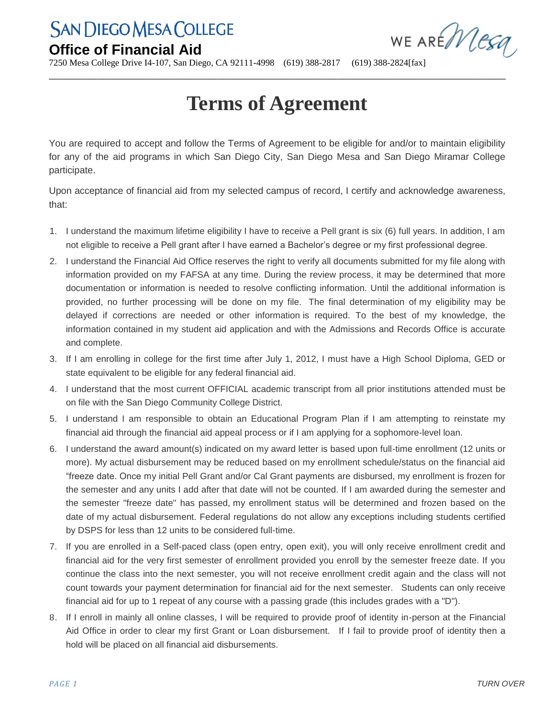## **San Diego Mesa College**

## **Office of Financial Aid**

WE AREMESA

7250 Mesa College Drive I4-107, San Diego, CA 92111-4998 (619) 388-2817 (619) 388-2824[fax]

## **Terms of Agreement**

\_\_\_\_\_\_\_\_\_\_\_\_\_\_\_\_\_\_\_\_\_\_\_\_\_\_\_\_\_\_\_\_\_\_\_\_\_\_\_\_\_\_\_\_\_\_\_\_\_\_\_\_\_\_\_\_\_\_\_\_\_\_\_\_\_\_\_\_\_\_\_\_\_\_\_\_\_\_\_\_\_\_\_\_

You are required to accept and follow the Terms of Agreement to be eligible for and/or to maintain eligibility for any of the aid programs in which San Diego City, San Diego Mesa and San Diego Miramar College participate.

Upon acceptance of financial aid from my selected campus of record, I certify and acknowledge awareness, that:

- 1. I understand the maximum lifetime eligibility I have to receive a Pell grant is six (6) full years. In addition, I am not eligible to receive a Pell grant after I have earned a Bachelor's degree or my first professional degree.
- 2. I understand the Financial Aid Office reserves the right to verify all documents submitted for my file along with information provided on my FAFSA at any time. During the review process, it may be determined that more documentation or information is needed to resolve conflicting information. Until the additional information is provided, no further processing will be done on my file. The final determination of my eligibility may be delayed if corrections are needed or other information is required. To the best of my knowledge, the information contained in my student aid application and with the Admissions and Records Office is accurate and complete.
- 3. If I am enrolling in college for the first time after July 1, 2012, I must have a High School Diploma, GED or state equivalent to be eligible for any federal financial aid.
- 4. I understand that the most current OFFICIAL academic transcript from all prior institutions attended must be on file with the San Diego Community College District.
- 5. I understand I am responsible to obtain an Educational Program Plan if I am attempting to reinstate my financial aid through the financial aid appeal process or if I am applying for a sophomore-level loan.
- 6. I understand the award amount(s) indicated on my award letter is based upon full-time enrollment (12 units or more). My actual disbursement may be reduced based on my enrollment schedule/status on the financial aid "freeze date. Once my initial Pell Grant and/or Cal Grant payments are disbursed, my enrollment is frozen for the semester and any units I add after that date will not be counted. If I am awarded during the semester and the semester "freeze date" has passed, my enrollment status will be determined and frozen based on the date of my actual disbursement. Federal regulations do not allow any exceptions including students certified by DSPS for less than 12 units to be considered full-time.
- 7. If you are enrolled in a Self-paced class (open entry, open exit), you will only receive enrollment credit and financial aid for the very first semester of enrollment provided you enroll by the semester freeze date. If you continue the class into the next semester, you will not receive enrollment credit again and the class will not count towards your payment determination for financial aid for the next semester. Students can only receive financial aid for up to 1 repeat of any course with a passing grade (this includes grades with a "D").
- 8. If I enroll in mainly all online classes, I will be required to provide proof of identity in-person at the Financial Aid Office in order to clear my first Grant or Loan disbursement. If I fail to provide proof of identity then a hold will be placed on all financial aid disbursements.